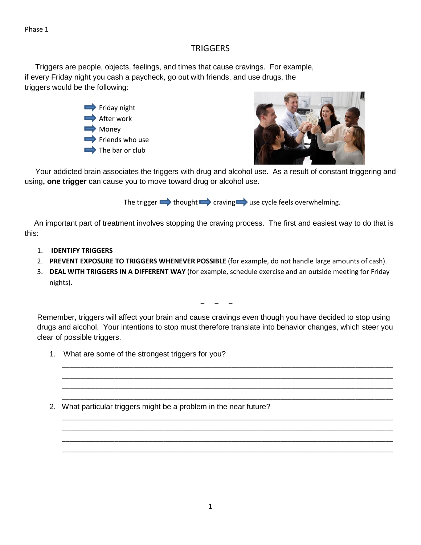## **TRIGGERS**

 Triggers are people, objects, feelings, and times that cause cravings. For example, if every Friday night you cash a paycheck, go out with friends, and use drugs, the triggers would be the following:

> $\Rightarrow$  Friday night After work **Money**  $\Rightarrow$  Friends who use The bar or club



 Your addicted brain associates the triggers with drug and alcohol use. As a result of constant triggering and using**, one trigger** can cause you to move toward drug or alcohol use.

The trigger  $\rightarrow$  thought  $\rightarrow$  craving  $\rightarrow$  use cycle feels overwhelming.

 An important part of treatment involves stopping the craving process. The first and easiest way to do that is this:

- 1. **IDENTIFY TRIGGERS**
- 2. **PREVENT EXPOSURE TO TRIGGERS WHENEVER POSSIBLE** (for example, do not handle large amounts of cash).
- 3. **DEAL WITH TRIGGERS IN A DIFFERENT WAY** (for example, schedule exercise and an outside meeting for Friday nights).

 $\overline{a}$   $\overline{a}$   $\overline{a}$ 

Remember, triggers will affect your brain and cause cravings even though you have decided to stop using drugs and alcohol. Your intentions to stop must therefore translate into behavior changes, which steer you clear of possible triggers.

\_\_\_\_\_\_\_\_\_\_\_\_\_\_\_\_\_\_\_\_\_\_\_\_\_\_\_\_\_\_\_\_\_\_\_\_\_\_\_\_\_\_\_\_\_\_\_\_\_\_\_\_\_\_\_\_\_\_\_\_\_\_\_\_\_\_\_\_\_\_\_\_\_\_\_\_\_\_\_\_\_\_\_\_\_\_\_\_ \_\_\_\_\_\_\_\_\_\_\_\_\_\_\_\_\_\_\_\_\_\_\_\_\_\_\_\_\_\_\_\_\_\_\_\_\_\_\_\_\_\_\_\_\_\_\_\_\_\_\_\_\_\_\_\_\_\_\_\_\_\_\_\_\_\_\_\_\_\_\_\_\_\_\_\_\_\_\_\_\_\_\_\_\_\_\_\_ \_\_\_\_\_\_\_\_\_\_\_\_\_\_\_\_\_\_\_\_\_\_\_\_\_\_\_\_\_\_\_\_\_\_\_\_\_\_\_\_\_\_\_\_\_\_\_\_\_\_\_\_\_\_\_\_\_\_\_\_\_\_\_\_\_\_\_\_\_\_\_\_\_\_\_\_\_\_\_\_\_\_\_\_\_\_\_\_ \_\_\_\_\_\_\_\_\_\_\_\_\_\_\_\_\_\_\_\_\_\_\_\_\_\_\_\_\_\_\_\_\_\_\_\_\_\_\_\_\_\_\_\_\_\_\_\_\_\_\_\_\_\_\_\_\_\_\_\_\_\_\_\_\_\_\_\_\_\_\_\_\_\_\_\_\_\_\_\_\_\_\_\_\_\_\_\_

\_\_\_\_\_\_\_\_\_\_\_\_\_\_\_\_\_\_\_\_\_\_\_\_\_\_\_\_\_\_\_\_\_\_\_\_\_\_\_\_\_\_\_\_\_\_\_\_\_\_\_\_\_\_\_\_\_\_\_\_\_\_\_\_\_\_\_\_\_\_\_\_\_\_\_\_\_\_\_\_\_\_\_\_\_\_\_\_ \_\_\_\_\_\_\_\_\_\_\_\_\_\_\_\_\_\_\_\_\_\_\_\_\_\_\_\_\_\_\_\_\_\_\_\_\_\_\_\_\_\_\_\_\_\_\_\_\_\_\_\_\_\_\_\_\_\_\_\_\_\_\_\_\_\_\_\_\_\_\_\_\_\_\_\_\_\_\_\_\_\_\_\_\_\_\_\_ \_\_\_\_\_\_\_\_\_\_\_\_\_\_\_\_\_\_\_\_\_\_\_\_\_\_\_\_\_\_\_\_\_\_\_\_\_\_\_\_\_\_\_\_\_\_\_\_\_\_\_\_\_\_\_\_\_\_\_\_\_\_\_\_\_\_\_\_\_\_\_\_\_\_\_\_\_\_\_\_\_\_\_\_\_\_\_\_ \_\_\_\_\_\_\_\_\_\_\_\_\_\_\_\_\_\_\_\_\_\_\_\_\_\_\_\_\_\_\_\_\_\_\_\_\_\_\_\_\_\_\_\_\_\_\_\_\_\_\_\_\_\_\_\_\_\_\_\_\_\_\_\_\_\_\_\_\_\_\_\_\_\_\_\_\_\_\_\_\_\_\_\_\_\_\_\_

- 1. What are some of the strongest triggers for you?
- 2. What particular triggers might be a problem in the near future?